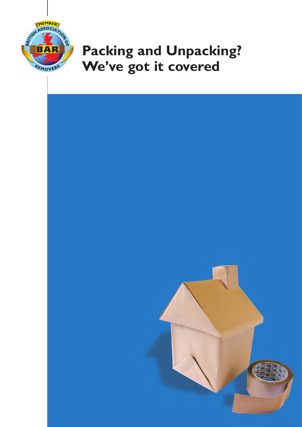

## **Packing and Unpacking? We've got it covered**